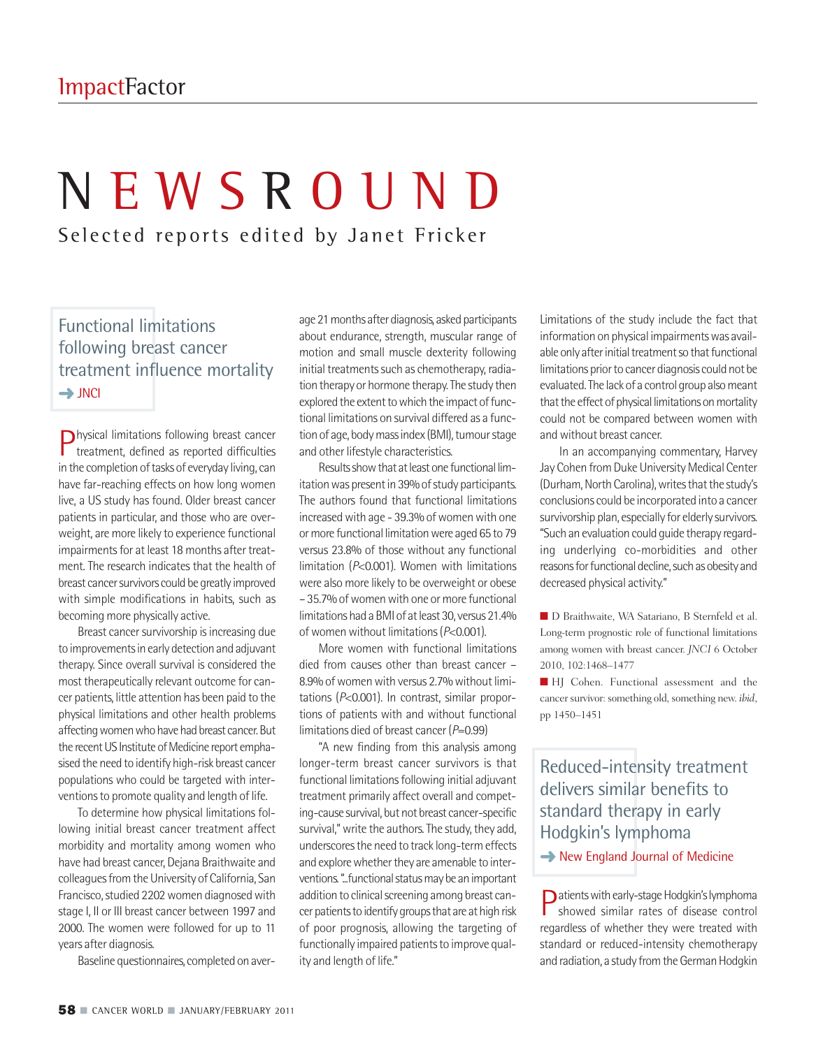# N E W S R O U N D

Selected reports edited by Janet Fricker

# Functional limitations following breast cancer treatment influence mortality **→**JNCI

Physical limitations following breast cancer treatment, defined as reported difficulties in the completion of tasks of everyday living, can have far-reaching effects on how long women live, a US study has found. Older breast cancer patients in particular, and those who are overweight, are more likely to experience functional impairments for at least 18 months after treatment. The research indicates that the health of breast cancer survivors could be greatly improved with simple modifications in habits, such as becoming more physically active.

Breast cancer survivorship is increasing due to improvementsin early detection and adjuvant therapy. Since overall survival is considered the most therapeutically relevant outcome for cancer patients, little attention has been paid to the physical limitations and other health problems affecting women who have had breast cancer. But the recent US Institute of Medicine report emphasised the need to identify high-risk breast cancer populations who could be targeted with interventions to promote quality and length of life.

To determine how physical limitations following initial breast cancer treatment affect morbidity and mortality among women who have had breast cancer, Dejana Braithwaite and colleagues from the University of California, San Francisco, studied 2202 women diagnosed with stage I, II or III breast cancer between 1997 and 2000. The women were followed for up to 11 years after diagnosis.

Baseline questionnaires, completed on aver-

age 21 months after diagnosis, asked participants about endurance, strength, muscular range of motion and small muscle dexterity following initial treatments such as chemotherapy, radiation therapy or hormone therapy. The study then explored the extent to which the impact of functional limitations on survival differed as a function of age, body mass index (BMI), tumour stage and other lifestyle characteristics.

Results show that at least one functional limitation was present in 39% of study participants. The authors found that functional limitations increased with age - 39.3% of women with one or more functional limitation were aged 65 to 79 versus 23.8% of those without any functional limitation (*P*<0.001). Women with limitations were also more likely to be overweight or obese – 35.7% of women with one or more functional limitations had a BMI of at least 30, versus 21.4% of women without limitations ( $P<0.001$ ).

More women with functional limitations died from causes other than breast cancer – 8.9% of women with versus 2.7% without limitations (*P*<0.001). In contrast, similar proportions of patients with and without functional limitations died of breast cancer(*P*=0.99)

"A new finding from this analysis among longer-term breast cancer survivors is that functional limitations following initial adjuvant treatment primarily affect overall and competing-cause survival, but not breast cancer-specific survival," write the authors. The study, they add, underscores the need to track long-term effects and explore whether they are amenable to interventions. "...functional status may be an important addition to clinical screening among breast cancer patients to identify groups that are at high risk of poor prognosis, allowing the targeting of functionally impaired patients to improve quality and length of life."

Limitations of the study include the fact that information on physical impairments was available only after initial treatment so that functional limitations prior to cancer diagnosis could not be evaluated.The lack of a control group alsomeant that the effect of physical limitations on mortality could not be compared between women with and without breast cancer.

In an accompanying commentary, Harvey Jay Cohen from Duke University Medical Center (Durham, North Carolina), writes that the study's conclusions could be incorporated into a cancer survivorship plan, especially for elderly survivors. "Such an evaluation could guide therapy regarding underlying co-morbidities and other reasons for functional decline, such as obesity and decreased physical activity."

■ D Braithwaite, WA Satariano, B Sternfeld et al. Long-term prognostic role of functional limitations among women with breast cancer. *JNCI* 6 October 2010, 102:1468–1477

■ HJ Cohen. Functional assessment and the cancer survivor: something old, something new. *ibid*, pp 1450–1451

# Reduced-intensity treatment delivers similar benefits to standard therapy in early Hodgkin's lymphoma

**→** New England Journal of Medicine

Patientswithearly-stageHodgkin'slymphoma showed similar rates of disease control regardless of whether they were treated with standard or reduced-intensity chemotherapy and radiation, a study from the German Hodgkin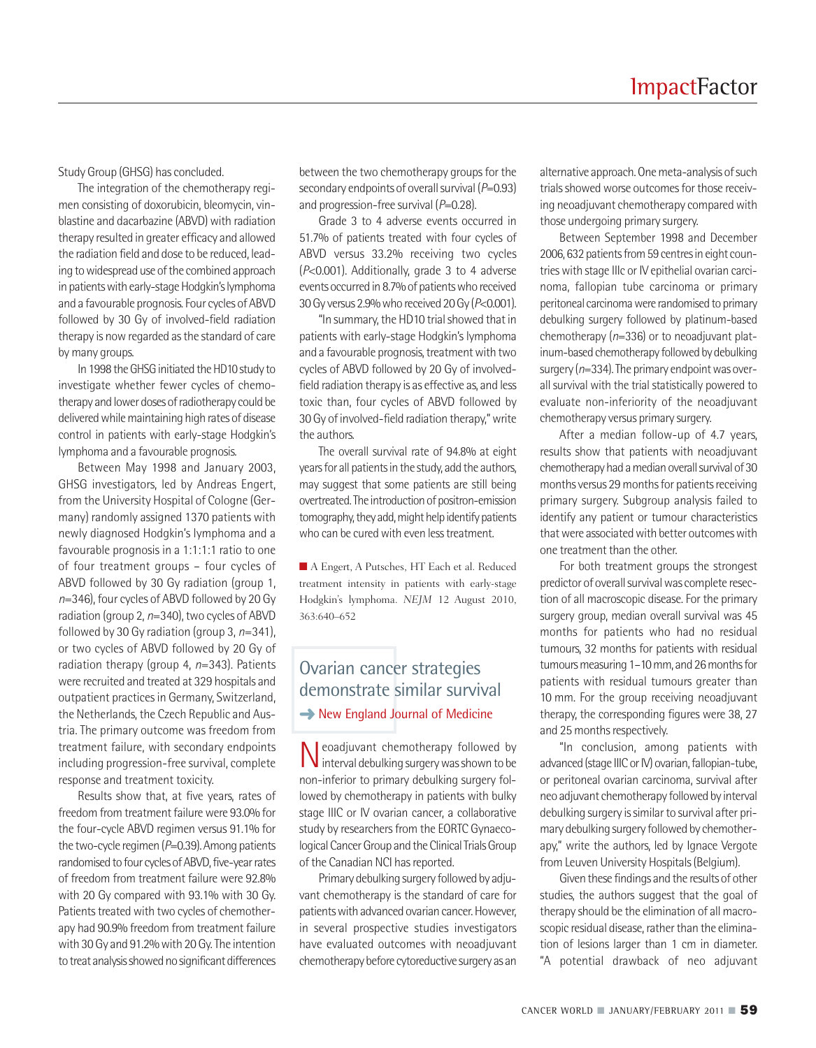Study Group (GHSG) has concluded.

The integration of the chemotherapy regimen consisting of doxorubicin, bleomycin, vinblastine and dacarbazine (ABVD) with radiation therapy resulted in greater efficacy and allowed the radiation field and dose to be reduced, leading to widespread use of the combined approach in patients with early-stage Hodgkin's lymphoma and a favourable prognosis. Four cycles of ABVD followed by 30 Gy of involved-field radiation therapy is now regarded as the standard of care by many groups.

In 1998 the GHSG initiated the HD10 study to investigate whether fewer cycles of chemotherapy and lower doses of radiotherapy could be delivered while maintaining high rates of disease control in patients with early-stage Hodgkin's lymphoma and a favourable prognosis.

Between May 1998 and January 2003, GHSG investigators, led by Andreas Engert, from the University Hospital of Cologne (Germany) randomly assigned 1370 patients with newly diagnosed Hodgkin's lymphoma and a favourable prognosis in a 1:1:1:1 ratio to one of four treatment groups – four cycles of ABVD followed by 30 Gy radiation (group 1, *n*=346), four cycles of ABVD followed by 20 Gy radiation (group 2, n=340), two cycles of ABVD followed by 30 Gy radiation (group 3, *n*=341), or two cycles of ABVD followed by 20 Gy of radiation therapy (group 4, *n*=343). Patients were recruited and treated at 329 hospitals and outpatient practices in Germany, Switzerland, the Netherlands, the Czech Republic and Austria. The primary outcome was freedom from treatment failure, with secondary endpoints including progression-free survival, complete response and treatment toxicity.

Results show that, at five years, rates of freedom from treatment failure were 93.0% for the four-cycle ABVD regimen versus 91.1% for the two-cycle regimen (P=0.39). Among patients randomised to four cycles of ABVD, five-year rates of freedom from treatment failure were 92.8% with 20 Gy compared with 93.1% with 30 Gy. Patients treated with two cycles of chemotherapy had 90.9% freedom from treatment failure with 30 Gy and 91.2% with 20 Gy. The intention to treat analysis showed no significant differences

between the two chemotherapy groups for the secondary endpoints of overall survival ( $P=0.93$ ) and progression-free survival (*P*=0.28).

Grade 3 to 4 adverse events occurred in 51.7% of patients treated with four cycles of ABVD versus 33.2% receiving two cycles (*P*<0.001). Additionally, grade 3 to 4 adverse events occurred in 8.7% of patients who received 30 Gy versus 2.9% who received 20 Gy ( $P<$ 0.001).

"In summary, the HD10 trial showed that in patients with early-stage Hodgkin's lymphoma and a favourable prognosis, treatment with two cycles of ABVD followed by 20 Gy of involvedfield radiation therapy is as effective as, and less toxic than, four cycles of ABVD followed by 30 Gy of involved-field radiation therapy," write the authors.

The overall survival rate of 94.8% at eight years for all patients in the study, add the authors, may suggest that some patients are still being overtreated. The introduction of positron-emission tomography, they add, might help identify patients who can be cured with even less treatment.

■ A Engert, A Putsches, HT Each et al. Reduced treatment intensity in patients with early-stage Hodgkin's lymphoma. *NEJM* 12 August 2010, 363:640–652

# Ovarian cancer strategies demonstrate similar survival **→** New England Journal of Medicine

Neoadjuvant chemotherapy followed by interval debulking surgerywasshownto be non-inferior to primary debulking surgery followed by chemotherapy in patients with bulky stage IIIC or IV ovarian cancer, a collaborative study by researchers from the EORTC Gynaecological Cancer Group and the Clinical Trials Group of the Canadian NCI has reported.

Primary debulking surgery followed by adjuvant chemotherapy is the standard of care for patients with advanced ovarian cancer. However, in several prospective studies investigators have evaluated outcomes with neoadjuvant chemotherapy before cytoreductive surgery as an

alternative approach. One meta-analysis of such trials showed worse outcomes for those receiving neoadjuvant chemotherapy compared with those undergoing primary surgery.

Between September 1998 and December 2006, 632 patients from 59 centres in eight countries with stage IIIc or IV epithelial ovarian carcinoma, fallopian tube carcinoma or primary peritoneal carcinoma were randomised to primary debulking surgery followed by platinum-based chemotherapy (*n*=336) or to neoadjuvant platinum-based chemotherapy followed by debulking surgery ( $n=334$ ). The primary endpoint was overall survival with the trial statistically powered to evaluate non-inferiority of the neoadjuvant chemotherapy versus primary surgery.

After a median follow-up of 4.7 years, results show that patients with neoadjuvant chemotherapy had a median overall survival of 30 months versus 29 months for patients receiving primary surgery. Subgroup analysis failed to identify any patient or tumour characteristics that were associated with better outcomes with one treatment than the other.

For both treatment groups the strongest predictor of overall survival was complete resection of all macroscopic disease. For the primary surgery group, median overall survival was 45 months for patients who had no residual tumours, 32 months for patients with residual tumours measuring 1-10 mm, and 26 months for patients with residual tumours greater than 10 mm. For the group receiving neoadjuvant therapy, the corresponding figures were 38, 27 and 25 months respectively.

"In conclusion, among patients with advanced (stage IIIC or IV) ovarian, fallopian-tube, or peritoneal ovarian carcinoma, survival after neo adjuvant chemotherapy followed by interval debulking surgery is similar to survival after primary debulking surgery followed by chemotherapy," write the authors, led by Ignace Vergote from Leuven University Hospitals(Belgium).

Given these findings and the results of other studies, the authors suggest that the goal of therapy should be the elimination of all macroscopic residual disease, rather than the elimination of lesions larger than 1 cm in diameter. "A potential drawback of neo adjuvant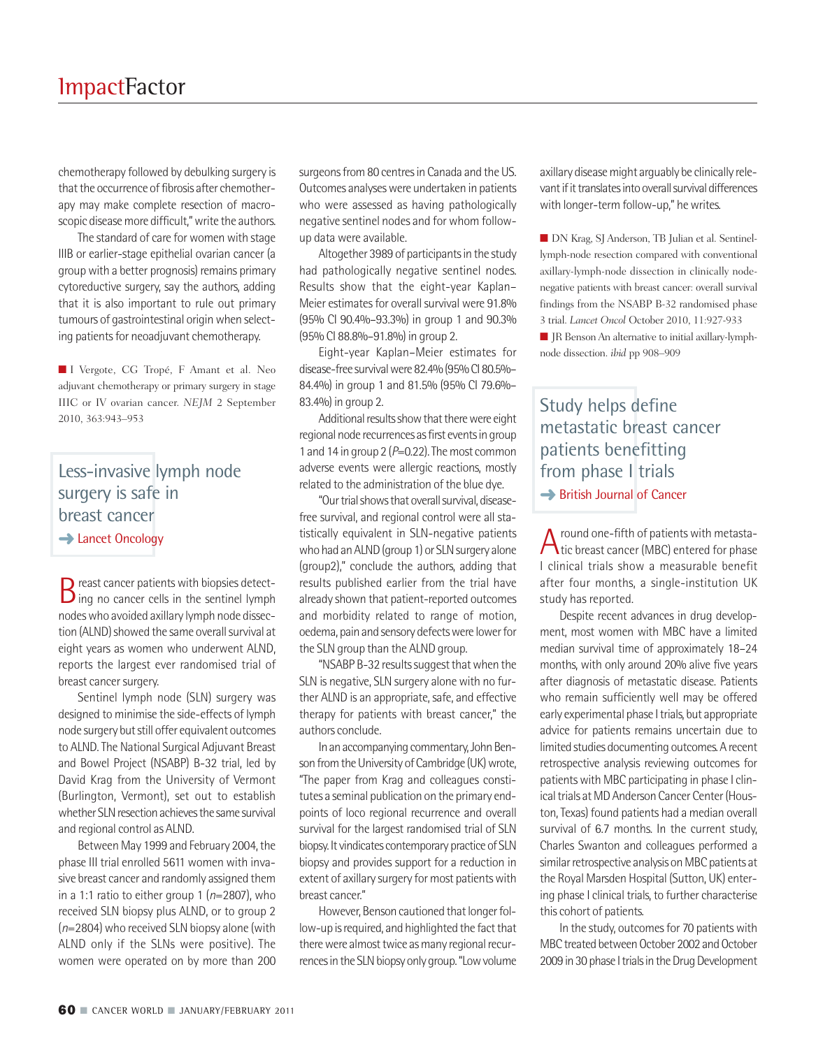chemotherapy followed by debulking surgery is that the occurrence of fibrosis after chemotherapy may make complete resection of macroscopic disease more difficult," write the authors.

The standard of care for women with stage IIIB or earlier-stage epithelial ovarian cancer (a group with a better prognosis) remains primary cytoreductive surgery, say the authors, adding that it is also important to rule out primary tumours of gastrointestinal origin when selecting patients for neoadjuvant chemotherapy.

**■** I Vergote, CG Tropé, F Amant et al. Neo adjuvant chemotherapy or primary surgery in stage IIIC or IV ovarian cancer. *NEJM* 2 September 2010, 363:943–953

#### Less-invasive lymph node surgery is safe in breast cancer **→ Lancet Oncology**

Breast cancer patients with biopsies detect-<br>ing no cancer cells in the sentinel lymph nodeswho avoided axillary lymph node dissection (ALND) showed the same overall survival at eight years as women who underwent ALND, reports the largest ever randomised trial of breast cancer surgery.

Sentinel lymph node (SLN) surgery was designed to minimise the side-effects of lymph node surgery but still offer equivalent outcomes to ALND.The National Surgical Adjuvant Breast and Bowel Project (NSABP) B-32 trial, led by David Krag from the University of Vermont (Burlington, Vermont), set out to establish whether SLN resection achieves the same survival and regional control as ALND.

Between May 1999 and February 2004, the phase III trial enrolled 5611 women with invasive breast cancer and randomly assigned them in a 1:1 ratio to either group 1 (*n*=2807), who received SLN biopsy plus ALND, or to group 2 ( $n=2804$ ) who received SLN biopsy alone (with ALND only if the SLNs were positive). The women were operated on by more than 200

surgeons from 80 centres in Canada and the US. Outcomes analyses were undertaken in patients who were assessed as having pathologically negative sentinel nodes and for whom followup data were available.

Altogether 3989 of participants in the study had pathologically negative sentinel nodes. Results show that the eight-year Kaplan– Meier estimates for overall survival were 91.8% (95% CI 90.4%–93.3%) in group 1 and 90.3% (95% CI 88.8%–91.8%) in group 2.

Eight-year Kaplan–Meier estimates for disease-free survival were 82.4% (95% Cl 80.5%-84.4%) in group 1 and 81.5% (95% CI 79.6%– 83.4%) in group 2.

Additional results show that there were eight regional node recurrences as first events in group 1 and 14 in group 2 (P=0.22). The most common adverse events were allergic reactions, mostly related to the administration of the blue dye.

"Our trial shows that overall survival, diseasefree survival, and regional control were all statistically equivalent in SLN-negative patients who had an ALND (group 1) or SLN surgery alone (group2)," conclude the authors, adding that results published earlier from the trial have already shown that patient-reported outcomes and morbidity related to range of motion, oedema, pain and sensory defects were lower for the SLN group than the ALND group.

"NSABP B-32 results suggest that when the SLN is negative, SLN surgery alone with no further ALND is an appropriate, safe, and effective therapy for patients with breast cancer," the authors conclude.

In an accompanying commentary, John Benson from the University of Cambridge (UK) wrote, "The paper from Krag and colleagues constitutes a seminal publication on the primary endpoints of loco regional recurrence and overall survival for the largest randomised trial of SLN biopsy. It vindicates contemporary practice of SLN biopsy and provides support for a reduction in extent of axillary surgery for most patients with breast cancer."

However, Benson cautioned that longer follow-up is required, and highlighted the fact that there were almost twice as many regional recurrences in the SLN biopsy only group. "Low volume

axillary disease might arguably be clinically relevant if it translates into overall survival differences with longer-term follow-up," he writes.

■ DN Krag, SJ Anderson, TB Julian et al. Sentinellymph-node resection compared with conventional axillary-lymph-node dissection in clinically nodenegative patients with breast cancer: overall survival findings from the NSABP B-32 randomised phase 3 trial. *Lancet Oncol* October 2010, 11:927-933

**■** JR BensonAn alternative to initial axillary-lymphnode dissection. *ibid* pp 908–909

# Study helps define metastatic breast cancer patients benefitting from phase I trials **→ British Journal of Cancer**

A round one-fifth of patients with metasta-<br>tic breast cancer (MBC) entered for phase I clinical trials show a measurable benefit after four months, a single-institution UK study has reported.

Despite recent advances in drug development, most women with MBC have a limited median survival time of approximately 18–24 months, with only around 20% alive five years after diagnosis of metastatic disease. Patients who remain sufficiently well may be offered early experimental phase I trials, but appropriate advice for patients remains uncertain due to limited studies documenting outcomes.Arecent retrospective analysis reviewing outcomes for patients with MBC participating in phase I clinical trials at MD Anderson Cancer Center (Houston,Texas) found patients had a median overall survival of 6.7 months. In the current study, Charles Swanton and colleagues performed a similar retrospective analysis on MBC patients at the Royal Marsden Hospital (Sutton, UK) entering phase I clinical trials, to further characterise this cohort of patients.

In the study, outcomes for 70 patients with MBC treated between October 2002 and October 2009 in 30 phase I trials in the Drug Development